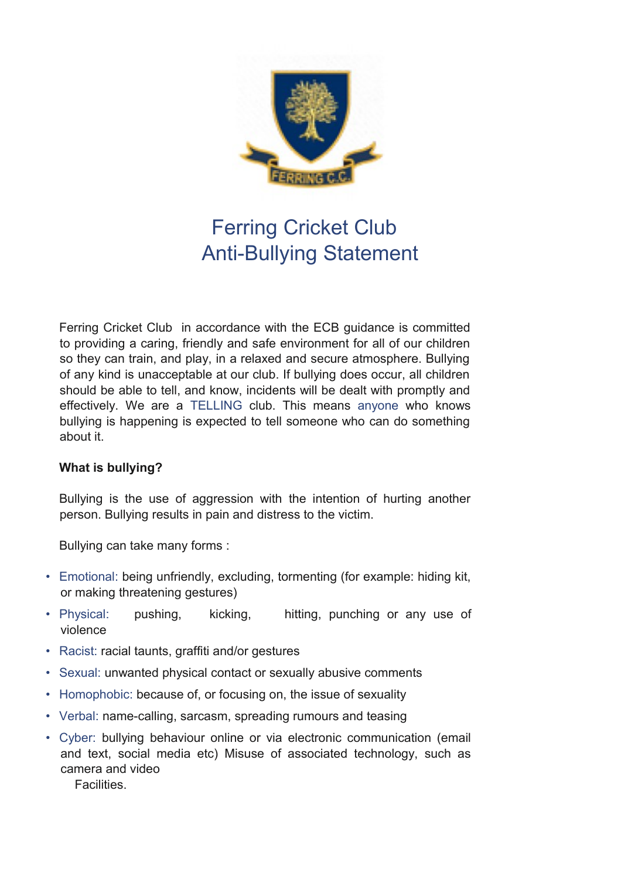

# Ferring Cricket Club Anti-Bullying Statement

Ferring Cricket Club in accordance with the ECB guidance is committed to providing a caring, friendly and safe environment for all of our children so they can train, and play, in a relaxed and secure atmosphere. Bullying of any kind is unacceptable at our club. If bullying does occur, all children should be able to tell, and know, incidents will be dealt with promptly and effectively. We are a TELLING club. This means anyone who knows bullying is happening is expected to tell someone who can do something about it.

#### **What is bullying?**

Bullying is the use of aggression with the intention of hurting another person. Bullying results in pain and distress to the victim.

Bullying can take many forms :

- Emotional: being unfriendly, excluding, tormenting (for example: hiding kit, or making threatening gestures)
- Physical: pushing, kicking, hitting, punching or any use of violence
- Racist: racial taunts, graffiti and/or gestures
- Sexual: unwanted physical contact or sexually abusive comments
- Homophobic: because of, or focusing on, the issue of sexuality
- Verbal: name-calling, sarcasm, spreading rumours and teasing
- Cyber: bullying behaviour online or via electronic communication (email and text, social media etc) Misuse of associated technology, such as camera and video

**Facilities**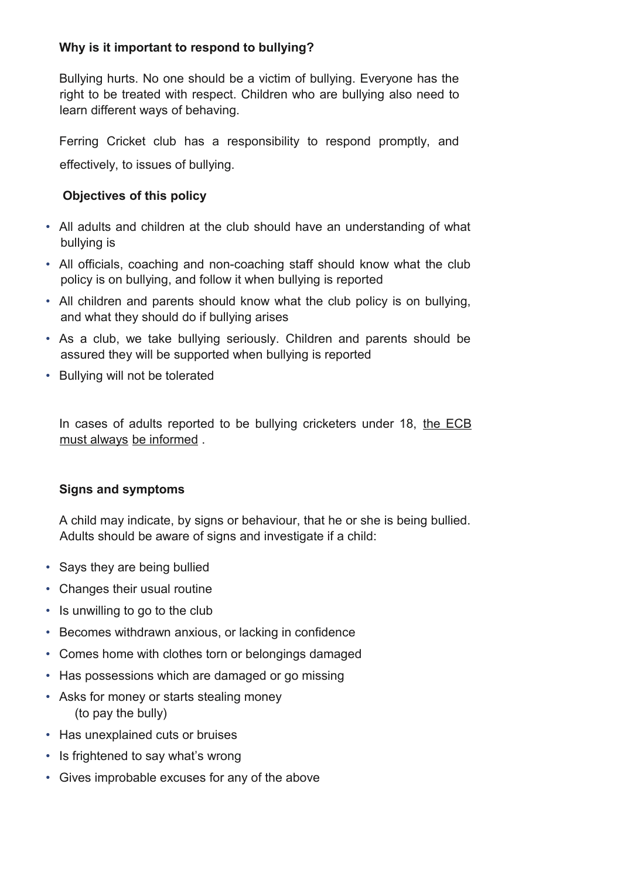### **Why is it important to respond to bullying?**

Bullying hurts. No one should be a victim of bullying. Everyone has the right to be treated with respect. Children who are bullying also need to learn different ways of behaving.

Ferring Cricket club has a responsibility to respond promptly, and effectively, to issues of bullying.

### **Objectives of this policy**

- All adults and children at the club should have an understanding of what bullying is
- All officials, coaching and non-coaching staff should know what the club policy is on bullying, and follow it when bullying is reported
- All children and parents should know what the club policy is on bullying, and what they should do if bullying arises
- As a club, we take bullying seriously. Children and parents should be assured they will be supported when bullying is reported
- Bullying will not be tolerated

In cases of adults reported to be bullying cricketers under 18, the ECB must always be informed .

## **Signs and symptoms**

A child may indicate, by signs or behaviour, that he or she is being bullied. Adults should be aware of signs and investigate if a child:

- Says they are being bullied
- Changes their usual routine
- Is unwilling to go to the club
- Becomes withdrawn anxious, or lacking in confidence
- Comes home with clothes torn or belongings damaged
- Has possessions which are damaged or go missing
- Asks for money or starts stealing money (to pay the bully)
- Has unexplained cuts or bruises
- Is frightened to say what's wrong
- Gives improbable excuses for any of the above